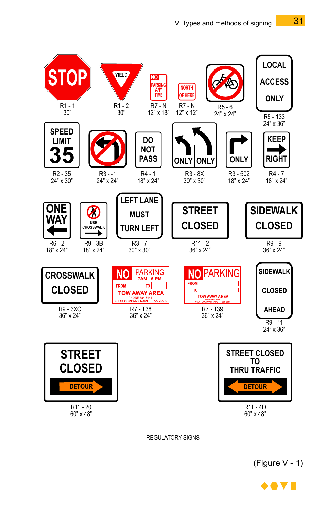

(Figure V - 1)